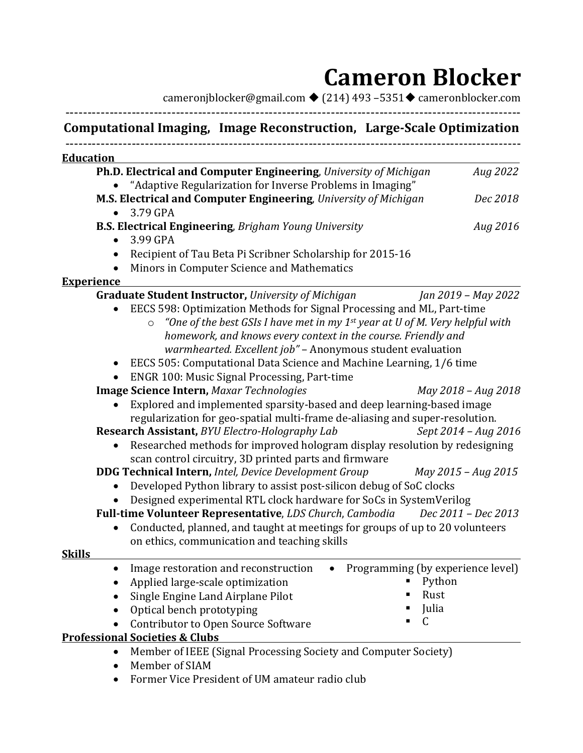# **Cameron Blocker**

cameronjblocker@gmail.com  $\blacklozenge$  (214) 493 –5351 $\blacklozenge$  cameronblocker.com

-------------------------------------------------------------------------------------------------------

# Computational Imaging, Image Reconstruction, Large-Scale Optimization

#### ------------------------------------------------------------------------------------------------------- **Education Ph.D. Electrical and Computer Engineering**, University of Michigan *Aug 2022* • "Adaptive Regularization for Inverse Problems in Imaging" **M.S. Electrical and Computer Engineering**, University of Michigan *Dec 2018* • 3.79 GPA **B.S. Electrical Engineering**, *Brigham Young University Aug 2016* • 3.99 GPA • Recipient of Tau Beta Pi Scribner Scholarship for 2015-16 Minors in Computer Science and Mathematics **Experience Graduate Student Instructor,** *University of Michigan Jan 2019 – May 2022* • EECS 598: Optimization Methods for Signal Processing and ML, Part-time  $\circ$  "One of the best GSIs I have met in my 1<sup>st</sup> year at U of M. Very helpful with *homework, and knows every context in the course. Friendly and* warmhearted. Excellent job" - Anonymous student evaluation • EECS 505: Computational Data Science and Machine Learning, 1/6 time • ENGR 100: Music Signal Processing, Part-time **Image Science Intern,** *Maxar Technologies May 2018 – Aug 2018* • Explored and implemented sparsity-based and deep learning-based image regularization for geo-spatial multi-frame de-aliasing and super-resolution. **Research Assistant,** *BYU Electro-Holography Lab Sept 2014 – Aug 2016* • Researched methods for improved hologram display resolution by redesigning scan control circuitry, 3D printed parts and firmware **DDG Technical Intern,** Intel, Device Development Group *May 2015 - Aug 2015* • Developed Python library to assist post-silicon debug of SoC clocks • Designed experimental RTL clock hardware for SoCs in SystemVerilog **Full-time Volunteer Representative**, *LDS Church*, *Cambodia Dec 2011 - Dec 2013* • Conducted, planned, and taught at meetings for groups of up to 20 volunteers on ethics, communication and teaching skills **Skills** • Image restoration and reconstruction • Applied large-scale optimization • Single Engine Land Airplane Pilot • Optical bench prototyping • Contributor to Open Source Software • Programming (by experience level) § Python § Rust § Julia  $\blacksquare$  C **Professional Societies & Clubs**

- Member of IEEE (Signal Processing Society and Computer Society)
- Member of SIAM
- Former Vice President of UM amateur radio club